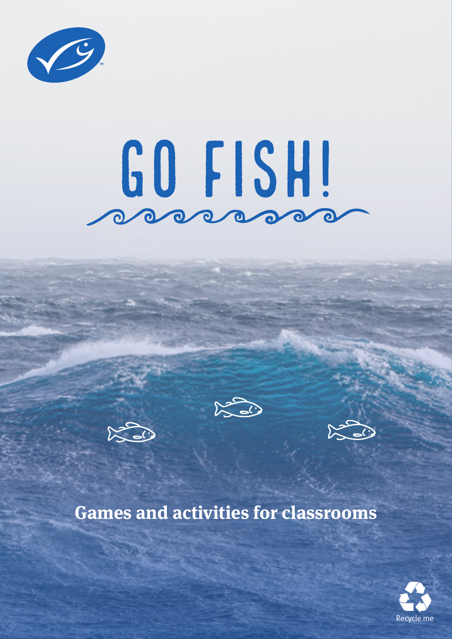

# Go fish!





## **Games and activities for classrooms**

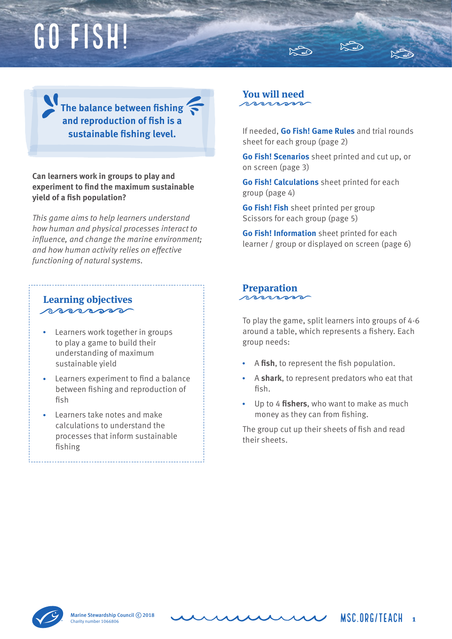## Go fish!

**The balance between fishing and reproduction of fish is a sustainable fishing level.**

**Can learners work in groups to play and experiment to find the maximum sustainable yield of a fish population?**

*This game aims to help learners understand how human and physical processes interact to*  influence, and change the marine environment; and how human activity relies on effective *functioning of natural systems.*

#### **Learning objectives** processo

- Learners work together in groups to play a game to build their understanding of maximum sustainable yield
- Learners experiment to find a balance between fishing and reproduction of fish
- Learners take notes and make calculations to understand the processes that inform sustainable fishing

#### **You will need**  $\sqrt{2}$

If needed, **Go Fish! Game Rules** and trial rounds sheet for each group (page 2)

**Go Fish! Scenarios** sheet printed and cut up, or on screen (page 3)

**Go Fish! Calculations** sheet printed for each group (page 4)

**Go Fish! Fish** sheet printed per group Scissors for each group (page 5)

**Go Fish! Information** sheet printed for each learner / group or displayed on screen (page 6)

### **Preparation**

To play the game, split learners into groups of 4-6 around a table, which represents a fishery. Each group needs:

- A **fish**, to represent the fish population.
- A **shark**, to represent predators who eat that fish.
- Up to 4 **fishers**, who want to make as much money as they can from fishing.

The group cut up their sheets of fish and read their sheets.



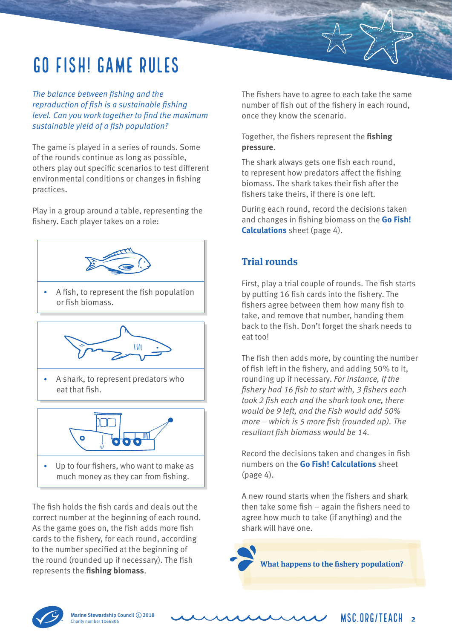## Go fish! Game rules

The balance between fishing and the reproduction of fish is a sustainable fishing level. Can you work together to find the maximum sustainable yield of a fish population?

The game is played in a series of rounds. Some of the rounds continue as long as possible, others play out specific scenarios to test different environmental conditions or changes in fishing practices.

Play in a group around a table, representing the fishery. Each player takes on a role:



 A fish, to represent the fish population or fish biomass.



 A shark, to represent predators who eat that fish.



 Up to four fishers, who want to make as much money as they can from fishing.

The fish holds the fish cards and deals out the correct number at the beginning of each round. As the game goes on, the fish adds more fish cards to the fishery, for each round, according to the number specified at the beginning of the round (rounded up if necessary). The fish represents the **fishing biomass**.

The fishers have to agree to each take the same number of fish out of the fishery in each round, once they know the scenario.

Together, the fishers represent the **fishing pressure**.

The shark always gets one fish each round, to represent how predators affect the fishing biomass. The shark takes their fish after the fishers take theirs, if there is one left.

During each round, record the decisions taken and changes in fishing biomass on the **Go Fish! Calculations** sheet (page 4).

#### **Trial rounds**

First, play a trial couple of rounds. The fish starts by putting 16 fish cards into the fishery. The fishers agree between them how many fish to take, and remove that number, handing them back to the fish. Don't forget the shark needs to eat too!

The fish then adds more, by counting the number of fish left in the fishery, and adding 50% to it, rounding up if necessary. For instance, if the fishery had 16 fish to start with, 3 fishers each took 2 fish each and the shark took one, there would be 9 left, and the Fish would add 50% more – which is 5 more fish (rounded up). The resultant fish biomass would be 14.

Record the decisions taken and changes in fish numbers on the **Go Fish! Calculations** sheet (page 4).

A new round starts when the fishers and shark then take some fish – again the fishers need to agree how much to take (if anything) and the shark will have one.

**What happens to the fishery population?**



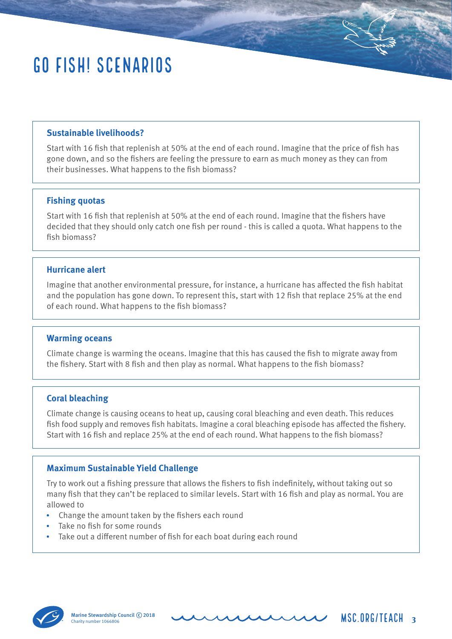## Go Fish! Scenarios

#### **Sustainable livelihoods?**

Start with 16 fish that replenish at 50% at the end of each round. Imagine that the price of fish has gone down, and so the fishers are feeling the pressure to earn as much money as they can from their businesses. What happens to the fish biomass?

#### **Fishing quotas**

Start with 16 fish that replenish at 50% at the end of each round. Imagine that the fishers have decided that they should only catch one fish per round - this is called a quota. What happens to the fish biomass?

#### **Hurricane alert**

Imagine that another environmental pressure, for instance, a hurricane has affected the fish habitat and the population has gone down. To represent this, start with 12 fish that replace 25% at the end of each round. What happens to the fish biomass?

#### **Warming oceans**

Climate change is warming the oceans. Imagine that this has caused the fish to migrate away from the fishery. Start with 8 fish and then play as normal. What happens to the fish biomass?

#### **Coral bleaching**

Climate change is causing oceans to heat up, causing coral bleaching and even death. This reduces fish food supply and removes fish habitats. Imagine a coral bleaching episode has affected the fishery. Start with 16 fish and replace 25% at the end of each round. What happens to the fish biomass?

#### **Maximum Sustainable Yield Challenge**

Try to work out a fishing pressure that allows the fishers to fish indefinitely, without taking out so many fish that they can't be replaced to similar levels. Start with 16 fish and play as normal. You are allowed to

- Change the amount taken by the fishers each round
- Take no fish for some rounds
- Take out a different number of fish for each boat during each round



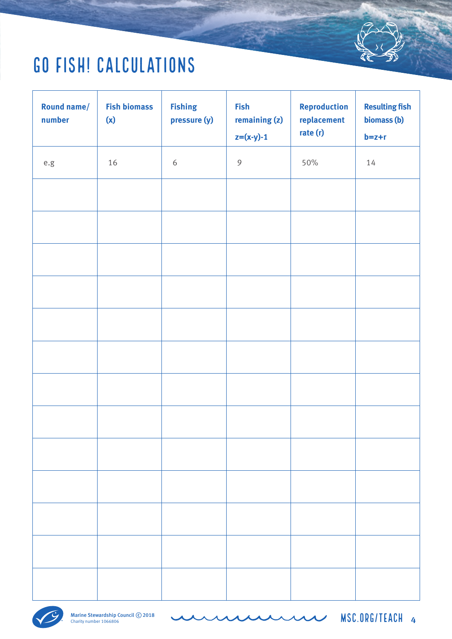## Go Fish! Calculations

| <b>Round name/</b><br>number | <b>Fish biomass</b><br>(x) | <b>Fishing</b><br>pressure (y) | <b>Fish</b><br>remaining (z)<br>$z=(x-y)-1$ | <b>Reproduction</b><br>replacement<br>rate (r) | <b>Resulting fish</b><br>biomass (b)<br>$b = z + r$ |
|------------------------------|----------------------------|--------------------------------|---------------------------------------------|------------------------------------------------|-----------------------------------------------------|
| $\rm e.g$                    | $16\,$                     | $\boldsymbol{6}$               | $\mathcal{G}$                               | 50%                                            | 14                                                  |
|                              |                            |                                |                                             |                                                |                                                     |
|                              |                            |                                |                                             |                                                |                                                     |
|                              |                            |                                |                                             |                                                |                                                     |
|                              |                            |                                |                                             |                                                |                                                     |
|                              |                            |                                |                                             |                                                |                                                     |
|                              |                            |                                |                                             |                                                |                                                     |
|                              |                            |                                |                                             |                                                |                                                     |
|                              |                            |                                |                                             |                                                |                                                     |
|                              |                            |                                |                                             |                                                |                                                     |
|                              |                            |                                |                                             |                                                |                                                     |
|                              |                            |                                |                                             |                                                |                                                     |
|                              |                            |                                |                                             |                                                |                                                     |
|                              |                            |                                |                                             |                                                |                                                     |

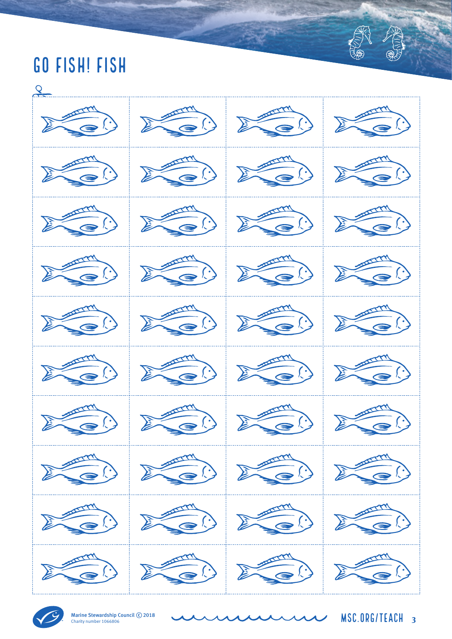## Go Fish! Fish





Marine Stewardship Council C 2018<br>Charity number 1066806

Charity number 1066806 msc.org/teach **<sup>3</sup>**